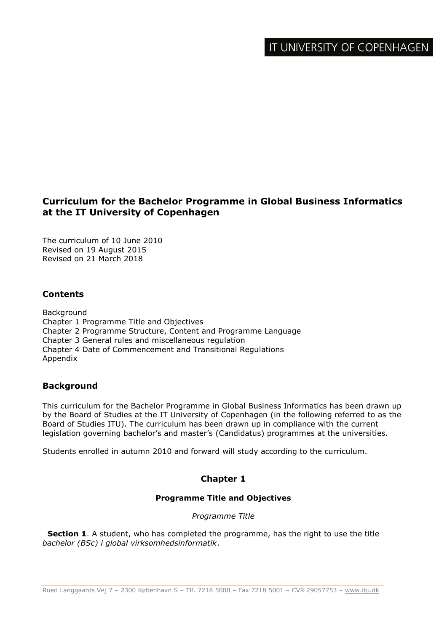# **Curriculum for the Bachelor Programme in Global Business Informatics at the IT University of Copenhagen**

The curriculum of 10 June 2010 Revised on 19 August 2015 Revised on 21 March 2018

## **Contents**

Background Chapter 1 Programme Title and Objectives Chapter 2 Programme Structure, Content and Programme Language Chapter 3 General rules and miscellaneous regulation Chapter 4 Date of Commencement and Transitional Regulations Appendix

## **Background**

This curriculum for the Bachelor Programme in Global Business Informatics has been drawn up by the Board of Studies at the IT University of Copenhagen (in the following referred to as the Board of Studies ITU). The curriculum has been drawn up in compliance with the current legislation governing bachelor's and master's (Candidatus) programmes at the universities.

Students enrolled in autumn 2010 and forward will study according to the curriculum.

# **Chapter 1**

### **Programme Title and Objectives**

*Programme Title*

**Section 1**. A student, who has completed the programme, has the right to use the title *bachelor (BSc) i global virksomhedsinformatik*.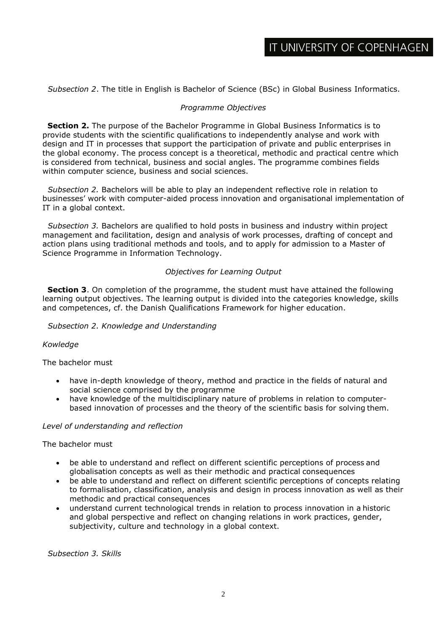*Subsection 2*. The title in English is Bachelor of Science (BSc) in Global Business Informatics.

#### *Programme Objectives*

**Section 2.** The purpose of the Bachelor Programme in Global Business Informatics is to provide students with the scientific qualifications to independently analyse and work with design and IT in processes that support the participation of private and public enterprises in the global economy. The process concept is a theoretical, methodic and practical centre which is considered from technical, business and social angles. The programme combines fields within computer science, business and social sciences.

*Subsection 2.* Bachelors will be able to play an independent reflective role in relation to businesses' work with computer-aided process innovation and organisational implementation of IT in a global context.

*Subsection 3.* Bachelors are qualified to hold posts in business and industry within project management and facilitation, design and analysis of work processes, drafting of concept and action plans using traditional methods and tools, and to apply for admission to a Master of Science Programme in Information Technology.

#### *Objectives for Learning Output*

**Section 3**. On completion of the programme, the student must have attained the following learning output objectives. The learning output is divided into the categories knowledge, skills and competences, cf. the Danish Qualifications Framework for higher education.

#### *Subsection 2. Knowledge and Understanding*

#### *Kowledge*

The bachelor must

- have in-depth knowledge of theory, method and practice in the fields of natural and social science comprised by the programme
- have knowledge of the multidisciplinary nature of problems in relation to computerbased innovation of processes and the theory of the scientific basis for solving them.

#### *Level of understanding and reflection*

The bachelor must

- be able to understand and reflect on different scientific perceptions of process and globalisation concepts as well as their methodic and practical consequences
- be able to understand and reflect on different scientific perceptions of concepts relating to formalisation, classification, analysis and design in process innovation as well as their methodic and practical consequences
- understand current technological trends in relation to process innovation in a historic and global perspective and reflect on changing relations in work practices, gender, subjectivity, culture and technology in a global context.

*Subsection 3. Skills*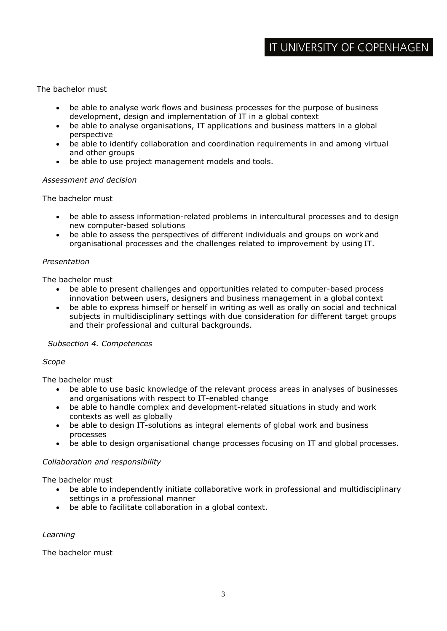### The bachelor must

- be able to analyse work flows and business processes for the purpose of business development, design and implementation of IT in a global context
- be able to analyse organisations, IT applications and business matters in a global perspective
- be able to identify collaboration and coordination requirements in and among virtual and other groups
- be able to use project management models and tools.

#### *Assessment and decision*

The bachelor must

- be able to assess information-related problems in intercultural processes and to design new computer-based solutions
- be able to assess the perspectives of different individuals and groups on work and organisational processes and the challenges related to improvement by using IT.

#### *Presentation*

The bachelor must

- be able to present challenges and opportunities related to computer-based process innovation between users, designers and business management in a global context
- be able to express himself or herself in writing as well as orally on social and technical subjects in multidisciplinary settings with due consideration for different target groups and their professional and cultural backgrounds.

#### *Subsection 4. Competences*

#### *Scope*

The bachelor must

- be able to use basic knowledge of the relevant process areas in analyses of businesses and organisations with respect to IT-enabled change
- be able to handle complex and development-related situations in study and work contexts as well as globally
- be able to design IT-solutions as integral elements of global work and business processes
- be able to design organisational change processes focusing on IT and global processes.

#### *Collaboration and responsibility*

The bachelor must

- be able to independently initiate collaborative work in professional and multidisciplinary settings in a professional manner
- be able to facilitate collaboration in a global context.

#### *Learning*

The bachelor must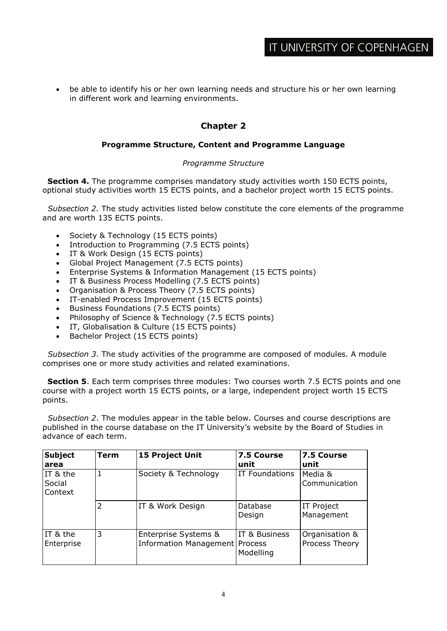be able to identify his or her own learning needs and structure his or her own learning in different work and learning environments.

# **Chapter 2**

## **Programme Structure, Content and Programme Language**

## *Programme Structure*

**Section 4.** The programme comprises mandatory study activities worth 150 ECTS points, optional study activities worth 15 ECTS points, and a bachelor project worth 15 ECTS points.

*Subsection 2.* The study activities listed below constitute the core elements of the programme and are worth 135 ECTS points.

- Society & Technology (15 ECTS points)
- Introduction to Programming (7.5 ECTS points)
- IT & Work Design (15 ECTS points)
- Global Project Management (7.5 ECTS points)
- Enterprise Systems & Information Management (15 ECTS points)
- **IT & Business Process Modelling (7.5 ECTS points)**
- Organisation & Process Theory (7.5 ECTS points)
- IT-enabled Process Improvement (15 ECTS points)
- Business Foundations (7.5 ECTS points)
- Philosophy of Science & Technology (7.5 ECTS points)
- IT, Globalisation & Culture (15 ECTS points)
- Bachelor Project (15 ECTS points)

*Subsection 3*. The study activities of the programme are composed of modules. A module comprises one or more study activities and related examinations.

**Section 5**. Each term comprises three modules: Two courses worth 7.5 ECTS points and one course with a project worth 15 ECTS points, or a large, independent project worth 15 ECTS points.

*Subsection 2*. The modules appear in the table below. Courses and course descriptions are published in the course database on the IT University's website by the Board of Studies in advance of each term.

| <b>Subject</b><br>area        | Term | 15 Project Unit                                          | 7.5 Course<br>unit         | 7.5 Course<br>unit               |
|-------------------------------|------|----------------------------------------------------------|----------------------------|----------------------------------|
| IT & the<br>Social<br>Context |      | Society & Technology                                     | <b>IT Foundations</b>      | Media &<br>Communication         |
|                               | 2    | IT & Work Design                                         | Database<br>Design         | <b>IT Project</b><br>Management  |
| IT & the<br>Enterprise        | 3    | Enterprise Systems &<br>Information Management   Process | IT & Business<br>Modelling | Organisation &<br>Process Theory |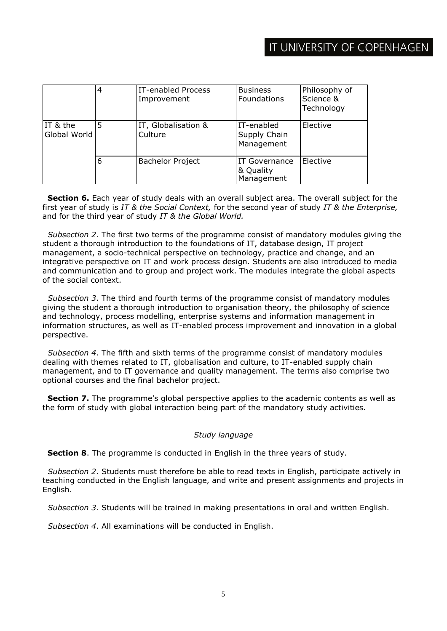|                          |   | IT-enabled Process<br>Improvement | <b>Business</b><br>Foundations           | Philosophy of<br>Science &<br>Technology |
|--------------------------|---|-----------------------------------|------------------------------------------|------------------------------------------|
| IT & the<br>Global World | 5 | IT, Globalisation &<br>Culture    | IT-enabled<br>Supply Chain<br>Management | Elective                                 |
|                          | 6 | <b>Bachelor Project</b>           | IT Governance<br>& Quality<br>Management | Elective                                 |

**Section 6.** Each year of study deals with an overall subject area. The overall subject for the first year of study is *IT & the Social Context,* for the second year of study *IT & the Enterprise,*  and for the third year of study *IT & the Global World.*

*Subsection 2*. The first two terms of the programme consist of mandatory modules giving the student a thorough introduction to the foundations of IT, database design, IT project management, a socio-technical perspective on technology, practice and change, and an integrative perspective on IT and work process design. Students are also introduced to media and communication and to group and project work. The modules integrate the global aspects of the social context.

*Subsection 3*. The third and fourth terms of the programme consist of mandatory modules giving the student a thorough introduction to organisation theory, the philosophy of science and technology, process modelling, enterprise systems and information management in information structures, as well as IT-enabled process improvement and innovation in a global perspective.

*Subsection 4*. The fifth and sixth terms of the programme consist of mandatory modules dealing with themes related to IT, globalisation and culture, to IT-enabled supply chain management, and to IT governance and quality management. The terms also comprise two optional courses and the final bachelor project.

**Section 7.** The programme's global perspective applies to the academic contents as well as the form of study with global interaction being part of the mandatory study activities.

#### *Study language*

**Section 8**. The programme is conducted in English in the three years of study.

*Subsection 2*. Students must therefore be able to read texts in English, participate actively in teaching conducted in the English language, and write and present assignments and projects in English.

*Subsection 3*. Students will be trained in making presentations in oral and written English.

*Subsection 4*. All examinations will be conducted in English.